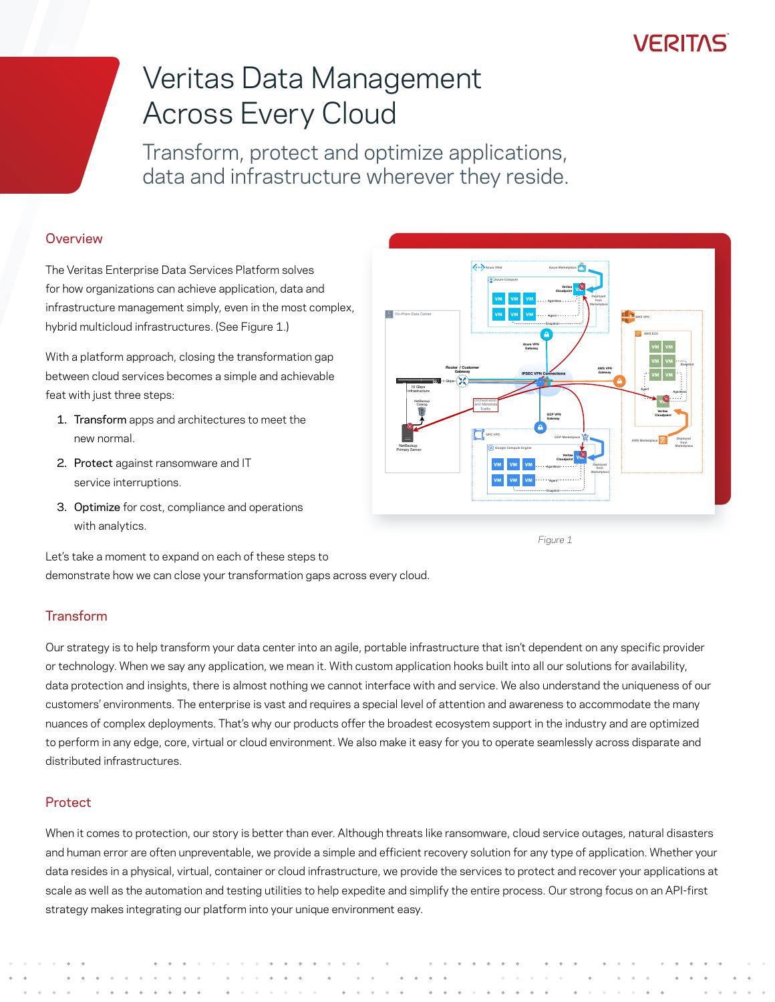### **VEBILVE**

# Veritas Data Management Across Every Cloud

Transform, protect and optimize applications, data and infrastructure wherever they reside.

#### **Overview**

The Veritas Enterprise Data Services Platform solves for how organizations can achieve application, data and infrastructure management simply, even in the most complex, hybrid multicloud infrastructures. (See Figure 1.)

With a platform approach, closing the transformation gap between cloud services becomes a simple and achievable feat with just three steps:

- 1. Transform apps and architectures to meet the new normal.
- 2. Protect against ransomware and IT service interruptions.
- 3. Optimize for cost, compliance and operations with analytics.



*Figure 1*

Let's take a moment to expand on each of these steps to demonstrate how we can close your transformation gaps across every cloud.

### **Transform**

Our strategy is to help transform your data center into an agile, portable infrastructure that isn't dependent on any specific provider or technology. When we say any application, we mean it. With custom application hooks built into all our solutions for availability, data protection and insights, there is almost nothing we cannot interface with and service. We also understand the uniqueness of our customers' environments. The enterprise is vast and requires a special level of attention and awareness to accommodate the many nuances of complex deployments. That's why our products offer the broadest ecosystem support in the industry and are optimized to perform in any edge, core, virtual or cloud environment. We also make it easy for you to operate seamlessly across disparate and distributed infrastructures.

#### **Protect**

When it comes to protection, our story is better than ever. Although threats like ransomware, cloud service outages, natural disasters and human error are often unpreventable, we provide a simple and efficient recovery solution for any type of application. Whether your data resides in a physical, virtual, container or cloud infrastructure, we provide the services to protect and recover your applications at scale as well as the automation and testing utilities to help expedite and simplify the entire process. Our strong focus on an API-first strategy makes integrating our platform into your unique environment easy.